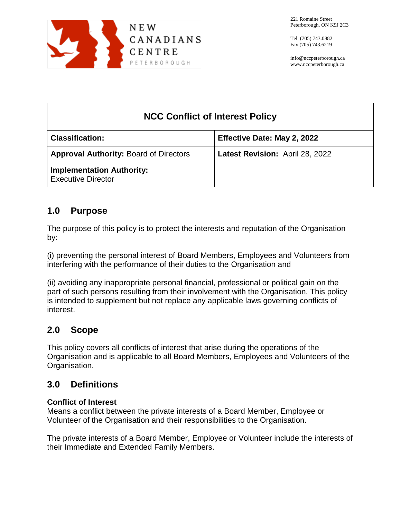

info@nccpeterborough.ca www.nccpeterborough.ca

| <b>NCC Conflict of Interest Policy</b>                        |                                 |  |
|---------------------------------------------------------------|---------------------------------|--|
| <b>Classification:</b>                                        | Effective Date: May 2, 2022     |  |
| <b>Approval Authority: Board of Directors</b>                 | Latest Revision: April 28, 2022 |  |
| <b>Implementation Authority:</b><br><b>Executive Director</b> |                                 |  |

## **1.0 Purpose**

The purpose of this policy is to protect the interests and reputation of the Organisation by:

(i) preventing the personal interest of Board Members, Employees and Volunteers from interfering with the performance of their duties to the Organisation and

(ii) avoiding any inappropriate personal financial, professional or political gain on the part of such persons resulting from their involvement with the Organisation. This policy is intended to supplement but not replace any applicable laws governing conflicts of interest.

# **2.0 Scope**

This policy covers all conflicts of interest that arise during the operations of the Organisation and is applicable to all Board Members, Employees and Volunteers of the Organisation.

# **3.0 Definitions**

## **Conflict of Interest**

Means a conflict between the private interests of a Board Member, Employee or Volunteer of the Organisation and their responsibilities to the Organisation.

The private interests of a Board Member, Employee or Volunteer include the interests of their Immediate and Extended Family Members.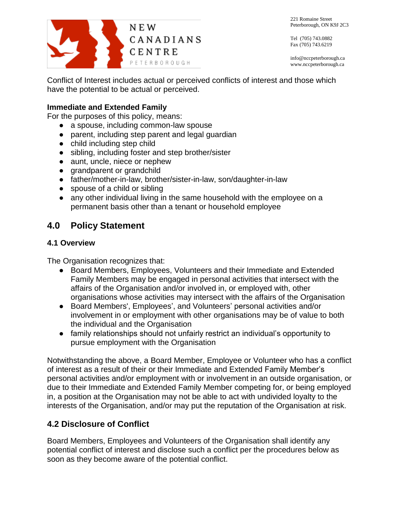

Tel (705) 743.0882 Fax (705) 743.6219

info@nccpeterborough.ca www.nccpeterborough.ca

Conflict of Interest includes actual or perceived conflicts of interest and those which have the potential to be actual or perceived.

### **Immediate and Extended Family**

For the purposes of this policy, means:

- a spouse, including common-law spouse
- parent, including step parent and legal guardian
- child including step child
- sibling, including foster and step brother/sister
- aunt, uncle, niece or nephew
- grandparent or grandchild
- father/mother-in-law, brother/sister-in-law, son/daughter-in-law
- spouse of a child or sibling
- any other individual living in the same household with the employee on a permanent basis other than a tenant or household employee

## **4.0 Policy Statement**

### **4.1 Overview**

The Organisation recognizes that:

- Board Members, Employees, Volunteers and their Immediate and Extended Family Members may be engaged in personal activities that intersect with the affairs of the Organisation and/or involved in, or employed with, other organisations whose activities may intersect with the affairs of the Organisation
- Board Members', Employees', and Volunteers' personal activities and/or involvement in or employment with other organisations may be of value to both the individual and the Organisation
- family relationships should not unfairly restrict an individual's opportunity to pursue employment with the Organisation

Notwithstanding the above, a Board Member, Employee or Volunteer who has a conflict of interest as a result of their or their Immediate and Extended Family Member's personal activities and/or employment with or involvement in an outside organisation, or due to their Immediate and Extended Family Member competing for, or being employed in, a position at the Organisation may not be able to act with undivided loyalty to the interests of the Organisation, and/or may put the reputation of the Organisation at risk.

## **4.2 Disclosure of Conflict**

Board Members, Employees and Volunteers of the Organisation shall identify any potential conflict of interest and disclose such a conflict per the procedures below as soon as they become aware of the potential conflict.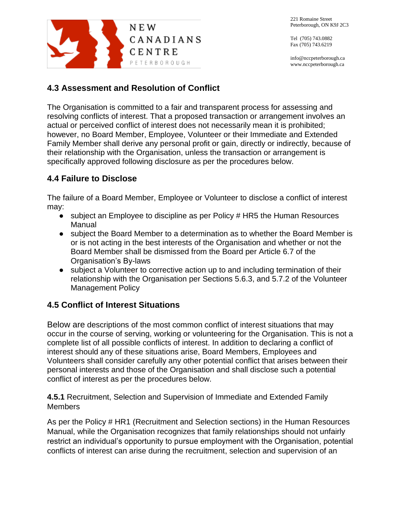

Tel (705) 743.0882 Fax (705) 743.6219

info@nccpeterborough.ca www.nccpeterborough.ca

## **4.3 Assessment and Resolution of Conflict**

The Organisation is committed to a fair and transparent process for assessing and resolving conflicts of interest. That a proposed transaction or arrangement involves an actual or perceived conflict of interest does not necessarily mean it is prohibited; however, no Board Member, Employee, Volunteer or their Immediate and Extended Family Member shall derive any personal profit or gain, directly or indirectly, because of their relationship with the Organisation, unless the transaction or arrangement is specifically approved following disclosure as per the procedures below.

## **4.4 Failure to Disclose**

The failure of a Board Member, Employee or Volunteer to disclose a conflict of interest may:

- subject an Employee to discipline as per Policy # HR5 the Human Resources Manual
- subject the Board Member to a determination as to whether the Board Member is or is not acting in the best interests of the Organisation and whether or not the Board Member shall be dismissed from the Board per Article 6.7 of the Organisation's By-laws
- subject a Volunteer to corrective action up to and including termination of their relationship with the Organisation per Sections 5.6.3, and 5.7.2 of the Volunteer Management Policy

## **4.5 Conflict of Interest Situations**

Below are descriptions of the most common conflict of interest situations that may occur in the course of serving, working or volunteering for the Organisation. This is not a complete list of all possible conflicts of interest. In addition to declaring a conflict of interest should any of these situations arise, Board Members, Employees and Volunteers shall consider carefully any other potential conflict that arises between their personal interests and those of the Organisation and shall disclose such a potential conflict of interest as per the procedures below.

**4.5.1** Recruitment, Selection and Supervision of Immediate and Extended Family **Members** 

As per the Policy # HR1 (Recruitment and Selection sections) in the Human Resources Manual, while the Organisation recognizes that family relationships should not unfairly restrict an individual's opportunity to pursue employment with the Organisation, potential conflicts of interest can arise during the recruitment, selection and supervision of an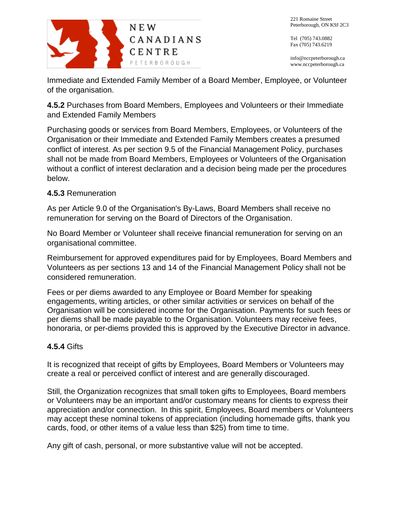

info@nccpeterborough.ca www.nccpeterborough.ca

Immediate and Extended Family Member of a Board Member, Employee, or Volunteer of the organisation.

**4.5.2** Purchases from Board Members, Employees and Volunteers or their Immediate and Extended Family Members

Purchasing goods or services from Board Members, Employees, or Volunteers of the Organisation or their Immediate and Extended Family Members creates a presumed conflict of interest. As per section 9.5 of the Financial Management Policy, purchases shall not be made from Board Members, Employees or Volunteers of the Organisation without a conflict of interest declaration and a decision being made per the procedures below.

### **4.5.3** Remuneration

As per Article 9.0 of the Organisation's By-Laws, Board Members shall receive no remuneration for serving on the Board of Directors of the Organisation.

No Board Member or Volunteer shall receive financial remuneration for serving on an organisational committee.

Reimbursement for approved expenditures paid for by Employees, Board Members and Volunteers as per sections 13 and 14 of the Financial Management Policy shall not be considered remuneration.

Fees or per diems awarded to any Employee or Board Member for speaking engagements, writing articles, or other similar activities or services on behalf of the Organisation will be considered income for the Organisation. Payments for such fees or per diems shall be made payable to the Organisation. Volunteers may receive fees, honoraria, or per-diems provided this is approved by the Executive Director in advance.

## **4.5.4** Gifts

It is recognized that receipt of gifts by Employees, Board Members or Volunteers may create a real or perceived conflict of interest and are generally discouraged.

Still, the Organization recognizes that small token gifts to Employees, Board members or Volunteers may be an important and/or customary means for clients to express their appreciation and/or connection. In this spirit, Employees, Board members or Volunteers may accept these nominal tokens of appreciation (including homemade gifts, thank you cards, food, or other items of a value less than \$25) from time to time.

Any gift of cash, personal, or more substantive value will not be accepted.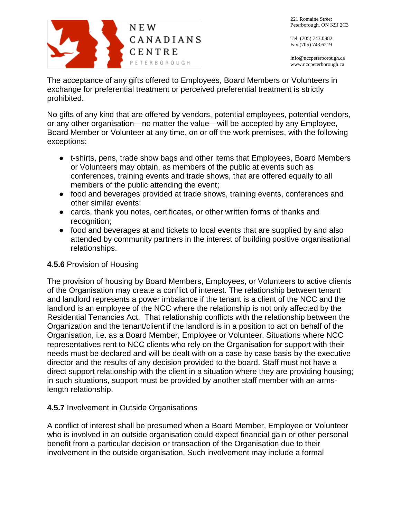

info@nccpeterborough.ca www.nccpeterborough.ca

N E W CANADIANS CENTRE PETERBOROUGH

The acceptance of any gifts offered to Employees, Board Members or Volunteers in exchange for preferential treatment or perceived preferential treatment is strictly prohibited.

No gifts of any kind that are offered by vendors, potential employees, potential vendors, or any other organisation—no matter the value—will be accepted by any Employee, Board Member or Volunteer at any time, on or off the work premises, with the following exceptions:

- t-shirts, pens, trade show bags and other items that Employees, Board Members or Volunteers may obtain, as members of the public at events such as conferences, training events and trade shows, that are offered equally to all members of the public attending the event;
- food and beverages provided at trade shows, training events, conferences and other similar events;
- cards, thank you notes, certificates, or other written forms of thanks and recognition;
- food and beverages at and tickets to local events that are supplied by and also attended by community partners in the interest of building positive organisational relationships.

### **4.5.6** Provision of Housing

The provision of housing by Board Members, Employees, or Volunteers to active clients of the Organisation may create a conflict of interest. The relationship between tenant and landlord represents a power imbalance if the tenant is a client of the NCC and the landlord is an employee of the NCC where the relationship is not only affected by the Residential Tenancies Act. That relationship conflicts with the relationship between the Organization and the tenant/client if the landlord is in a position to act on behalf of the Organisation, i.e. as a Board Member, Employee or Volunteer. Situations where NCC representatives rent to NCC clients who rely on the Organisation for support with their needs must be declared and will be dealt with on a case by case basis by the executive director and the results of any decision provided to the board. Staff must not have a direct support relationship with the client in a situation where they are providing housing; in such situations, support must be provided by another staff member with an armslength relationship.

### **4.5.7** Involvement in Outside Organisations

A conflict of interest shall be presumed when a Board Member, Employee or Volunteer who is involved in an outside organisation could expect financial gain or other personal benefit from a particular decision or transaction of the Organisation due to their involvement in the outside organisation. Such involvement may include a formal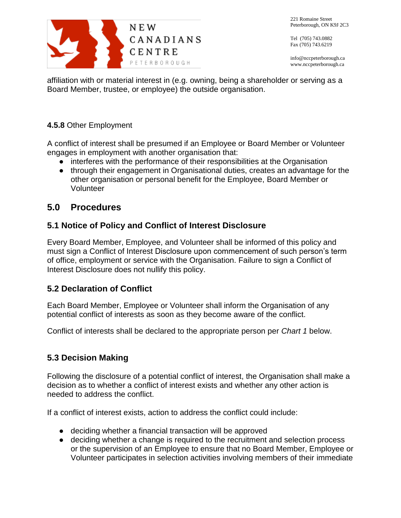

Tel (705) 743.0882 Fax (705) 743.6219

info@nccpeterborough.ca www.nccpeterborough.ca

affiliation with or material interest in (e.g. owning, being a shareholder or serving as a Board Member, trustee, or employee) the outside organisation.

## **4.5.8** Other Employment

A conflict of interest shall be presumed if an Employee or Board Member or Volunteer engages in employment with another organisation that:

- interferes with the performance of their responsibilities at the Organisation
- through their engagement in Organisational duties, creates an advantage for the other organisation or personal benefit for the Employee, Board Member or Volunteer

## **5.0 Procedures**

## **5.1 Notice of Policy and Conflict of Interest Disclosure**

Every Board Member, Employee, and Volunteer shall be informed of this policy and must sign a Conflict of Interest Disclosure upon commencement of such person's term of office, employment or service with the Organisation. Failure to sign a Conflict of Interest Disclosure does not nullify this policy.

## **5.2 Declaration of Conflict**

Each Board Member, Employee or Volunteer shall inform the Organisation of any potential conflict of interests as soon as they become aware of the conflict.

Conflict of interests shall be declared to the appropriate person per *Chart 1* below.

## **5.3 Decision Making**

Following the disclosure of a potential conflict of interest, the Organisation shall make a decision as to whether a conflict of interest exists and whether any other action is needed to address the conflict.

If a conflict of interest exists, action to address the conflict could include:

- deciding whether a financial transaction will be approved
- deciding whether a change is required to the recruitment and selection process or the supervision of an Employee to ensure that no Board Member, Employee or Volunteer participates in selection activities involving members of their immediate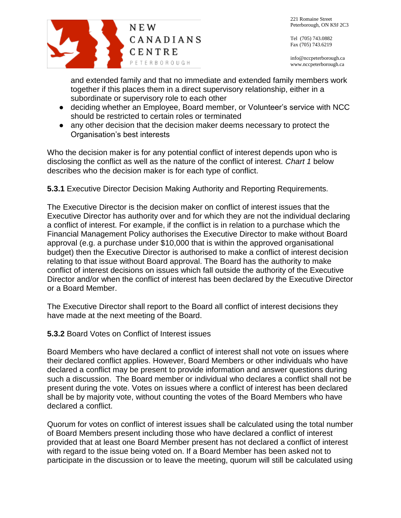

Tel (705) 743.0882 Fax (705) 743.6219

info@nccpeterborough.ca www.nccpeterborough.ca

and extended family and that no immediate and extended family members work together if this places them in a direct supervisory relationship, either in a subordinate or supervisory role to each other

- deciding whether an Employee, Board member, or Volunteer's service with NCC should be restricted to certain roles or terminated
- any other decision that the decision maker deems necessary to protect the Organisation's best interests

Who the decision maker is for any potential conflict of interest depends upon who is disclosing the conflict as well as the nature of the conflict of interest. *Chart 1* below describes who the decision maker is for each type of conflict.

**5.3.1** Executive Director Decision Making Authority and Reporting Requirements*.*

The Executive Director is the decision maker on conflict of interest issues that the Executive Director has authority over and for which they are not the individual declaring a conflict of interest. For example, if the conflict is in relation to a purchase which the Financial Management Policy authorises the Executive Director to make without Board approval (e.g. a purchase under \$10,000 that is within the approved organisational budget) then the Executive Director is authorised to make a conflict of interest decision relating to that issue without Board approval. The Board has the authority to make conflict of interest decisions on issues which fall outside the authority of the Executive Director and/or when the conflict of interest has been declared by the Executive Director or a Board Member.

The Executive Director shall report to the Board all conflict of interest decisions they have made at the next meeting of the Board.

**5.3.2** Board Votes on Conflict of Interest issues

Board Members who have declared a conflict of interest shall not vote on issues where their declared conflict applies. However, Board Members or other individuals who have declared a conflict may be present to provide information and answer questions during such a discussion. The Board member or individual who declares a conflict shall not be present during the vote. Votes on issues where a conflict of interest has been declared shall be by majority vote, without counting the votes of the Board Members who have declared a conflict.

Quorum for votes on conflict of interest issues shall be calculated using the total number of Board Members present including those who have declared a conflict of interest provided that at least one Board Member present has not declared a conflict of interest with regard to the issue being voted on. If a Board Member has been asked not to participate in the discussion or to leave the meeting, quorum will still be calculated using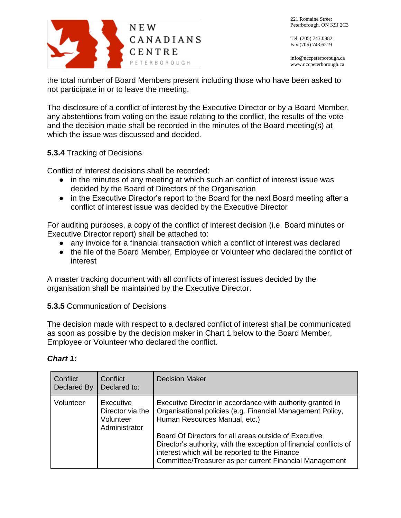

info@nccpeterborough.ca www.nccpeterborough.ca

the total number of Board Members present including those who have been asked to not participate in or to leave the meeting.

The disclosure of a conflict of interest by the Executive Director or by a Board Member, any abstentions from voting on the issue relating to the conflict, the results of the vote and the decision made shall be recorded in the minutes of the Board meeting(s) at which the issue was discussed and decided.

#### **5.3.4** Tracking of Decisions

Conflict of interest decisions shall be recorded:

- in the minutes of any meeting at which such an conflict of interest issue was decided by the Board of Directors of the Organisation
- in the Executive Director's report to the Board for the next Board meeting after a conflict of interest issue was decided by the Executive Director

For auditing purposes, a copy of the conflict of interest decision (i.e. Board minutes or Executive Director report) shall be attached to:

- any invoice for a financial transaction which a conflict of interest was declared
- the file of the Board Member, Employee or Volunteer who declared the conflict of interest

A master tracking document with all conflicts of interest issues decided by the organisation shall be maintained by the Executive Director.

#### **5.3.5** Communication of Decisions

The decision made with respect to a declared conflict of interest shall be communicated as soon as possible by the decision maker in Chart 1 below to the Board Member, Employee or Volunteer who declared the conflict.

| Conflict<br>Declared By | Conflict<br>Declared to:                                    | <b>Decision Maker</b>                                                                                                                                                                                                                                                                                                                                                                                 |
|-------------------------|-------------------------------------------------------------|-------------------------------------------------------------------------------------------------------------------------------------------------------------------------------------------------------------------------------------------------------------------------------------------------------------------------------------------------------------------------------------------------------|
| Volunteer               | Executive<br>Director via the<br>Volunteer<br>Administrator | Executive Director in accordance with authority granted in<br>Organisational policies (e.g. Financial Management Policy,<br>Human Resources Manual, etc.)<br>Board Of Directors for all areas outside of Executive<br>Director's authority, with the exception of financial conflicts of<br>interest which will be reported to the Finance<br>Committee/Treasurer as per current Financial Management |

#### *Chart 1:*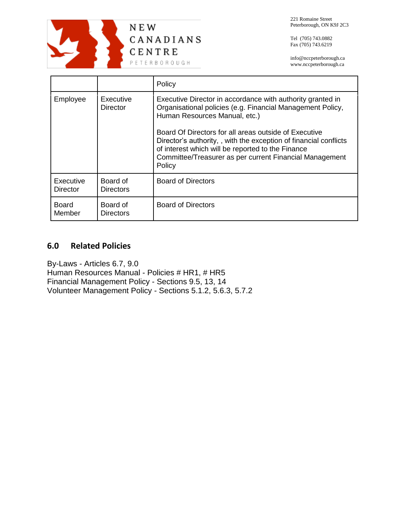

Tel (705) 743.0882 Fax (705) 743.6219

info@nccpeterborough.ca www.nccpeterborough.ca

|                              |                              | Policy                                                                                                                                                                                                                                               |
|------------------------------|------------------------------|------------------------------------------------------------------------------------------------------------------------------------------------------------------------------------------------------------------------------------------------------|
| Employee                     | Executive<br><b>Director</b> | Executive Director in accordance with authority granted in<br>Organisational policies (e.g. Financial Management Policy,<br>Human Resources Manual, etc.)                                                                                            |
|                              |                              | Board Of Directors for all areas outside of Executive<br>Director's authority, , with the exception of financial conflicts<br>of interest which will be reported to the Finance<br>Committee/Treasurer as per current Financial Management<br>Policy |
| Executive<br><b>Director</b> | Board of<br><b>Directors</b> | <b>Board of Directors</b>                                                                                                                                                                                                                            |
| <b>Board</b><br>Member       | Board of<br><b>Directors</b> | <b>Board of Directors</b>                                                                                                                                                                                                                            |

## **6.0 Related Policies**

By-Laws - Articles 6.7, 9.0 Human Resources Manual - Policies # HR1, # HR5 Financial Management Policy - Sections 9.5, 13, 14 Volunteer Management Policy - Sections 5.1.2, 5.6.3, 5.7.2